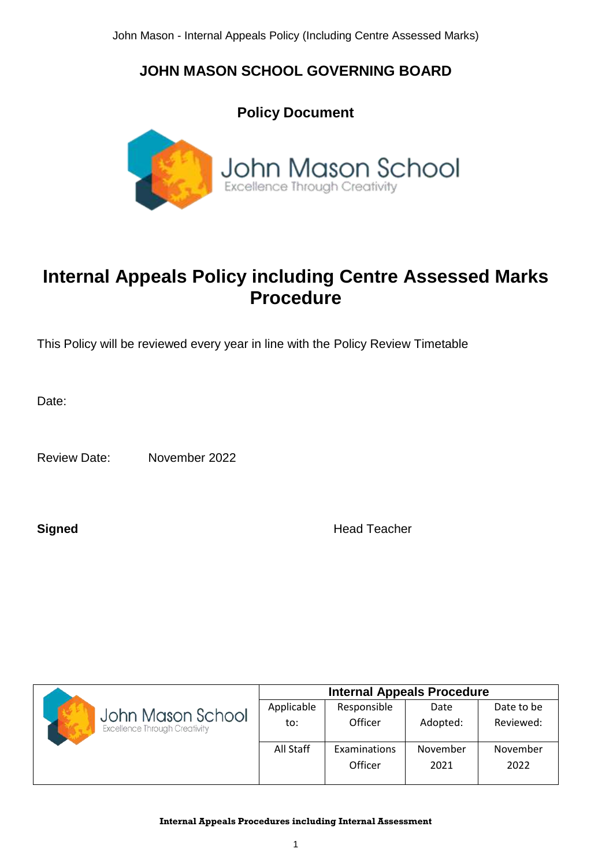## **JOHN MASON SCHOOL GOVERNING BOARD**



# **Internal Appeals Policy including Centre Assessed Marks Procedure**

This Policy will be reviewed every year in line with the Policy Review Timetable

Date:

Review Date: November 2022

**Signed** Head Teacher

|                                      | <b>Internal Appeals Procedure</b> |              |          |            |
|--------------------------------------|-----------------------------------|--------------|----------|------------|
| John Mason School                    | Applicable                        | Responsible  | Date     | Date to be |
| <b>Excellence Through Creativity</b> | to:                               | Officer      | Adopted: | Reviewed:  |
|                                      | All Staff                         | Examinations | November | November   |
|                                      |                                   | Officer      | 2021     | 2022       |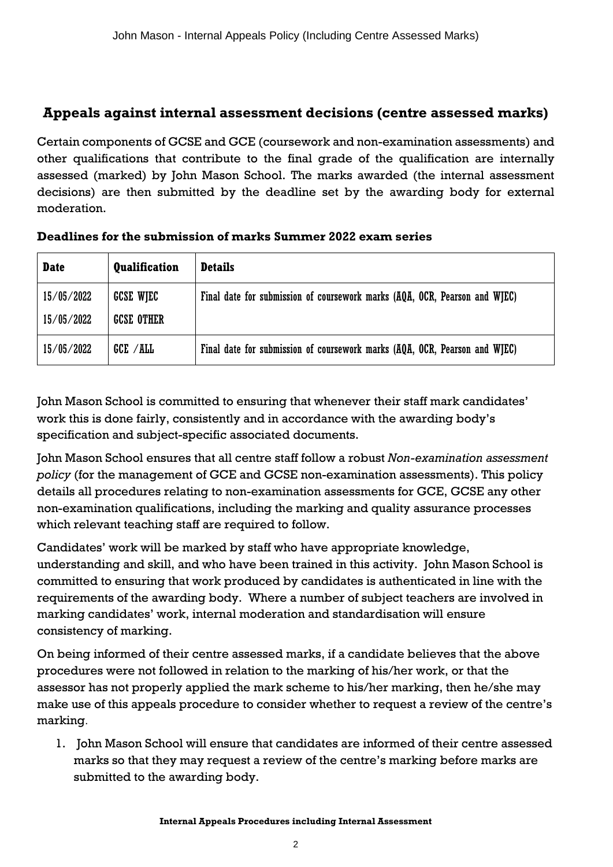## **Appeals against internal assessment decisions (centre assessed marks)**

Certain components of GCSE and GCE (coursework and non-examination assessments) and other qualifications that contribute to the final grade of the qualification are internally assessed (marked) by John Mason School. The marks awarded (the internal assessment decisions) are then submitted by the deadline set by the awarding body for external moderation.

| <b>Date</b>              | <b>Qualification</b>                  | <b>Details</b>                                                             |
|--------------------------|---------------------------------------|----------------------------------------------------------------------------|
| 15/05/2022<br>15/05/2022 | <b>GCSE WIEC</b><br><b>GCSE OTHER</b> | Final date for submission of coursework marks (AQA, OCR, Pearson and WJEC) |
| 15/05/2022               | GCE / ALL                             | Final date for submission of coursework marks (AQA, OCR, Pearson and WJEC) |

#### **Deadlines for the submission of marks Summer 2022 exam series**

John Mason School is committed to ensuring that whenever their staff mark candidates' work this is done fairly, consistently and in accordance with the awarding body's specification and subject-specific associated documents.

John Mason School ensures that all centre staff follow a robust *Non-examination assessment policy* (for the management of GCE and GCSE non-examination assessments). This policy details all procedures relating to non-examination assessments for GCE, GCSE any other non-examination qualifications, including the marking and quality assurance processes which relevant teaching staff are required to follow.

Candidates' work will be marked by staff who have appropriate knowledge, understanding and skill, and who have been trained in this activity. John Mason School is committed to ensuring that work produced by candidates is authenticated in line with the requirements of the awarding body. Where a number of subject teachers are involved in marking candidates' work, internal moderation and standardisation will ensure consistency of marking.

On being informed of their centre assessed marks, if a candidate believes that the above procedures were not followed in relation to the marking of his/her work, or that the assessor has not properly applied the mark scheme to his/her marking, then he/she may make use of this appeals procedure to consider whether to request a review of the centre's marking.

1. John Mason School will ensure that candidates are informed of their centre assessed marks so that they may request a review of the centre's marking before marks are submitted to the awarding body.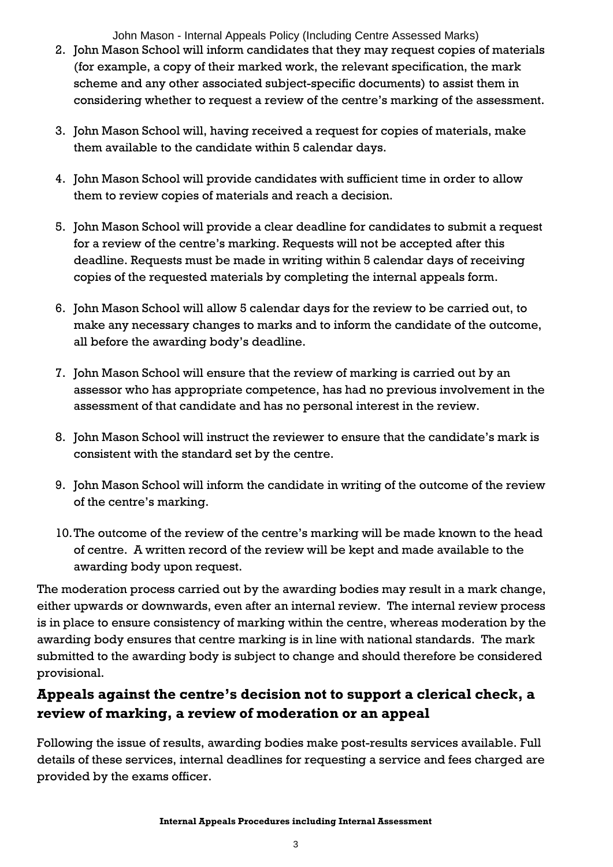John Mason - Internal Appeals Policy (Including Centre Assessed Marks)

- 2. John Mason School will inform candidates that they may request copies of materials (for example, a copy of their marked work, the relevant specification, the mark scheme and any other associated subject-specific documents) to assist them in considering whether to request a review of the centre's marking of the assessment.
- 3. John Mason School will, having received a request for copies of materials, make them available to the candidate within 5 calendar days.
- 4. John Mason School will provide candidates with sufficient time in order to allow them to review copies of materials and reach a decision.
- 5. John Mason School will provide a clear deadline for candidates to submit a request for a review of the centre's marking. Requests will not be accepted after this deadline. Requests must be made in writing within 5 calendar days of receiving copies of the requested materials by completing the internal appeals form.
- 6. John Mason School will allow 5 calendar days for the review to be carried out, to make any necessary changes to marks and to inform the candidate of the outcome, all before the awarding body's deadline.
- 7. John Mason School will ensure that the review of marking is carried out by an assessor who has appropriate competence, has had no previous involvement in the assessment of that candidate and has no personal interest in the review.
- 8. John Mason School will instruct the reviewer to ensure that the candidate's mark is consistent with the standard set by the centre.
- 9. John Mason School will inform the candidate in writing of the outcome of the review of the centre's marking.
- 10.The outcome of the review of the centre's marking will be made known to the head of centre. A written record of the review will be kept and made available to the awarding body upon request.

The moderation process carried out by the awarding bodies may result in a mark change, either upwards or downwards, even after an internal review. The internal review process is in place to ensure consistency of marking within the centre, whereas moderation by the awarding body ensures that centre marking is in line with national standards. The mark submitted to the awarding body is subject to change and should therefore be considered provisional.

## **Appeals against the centre's decision not to support a clerical check, a review of marking, a review of moderation or an appeal**

Following the issue of results, awarding bodies make post-results services available. Full details of these services, internal deadlines for requesting a service and fees charged are provided by the exams officer.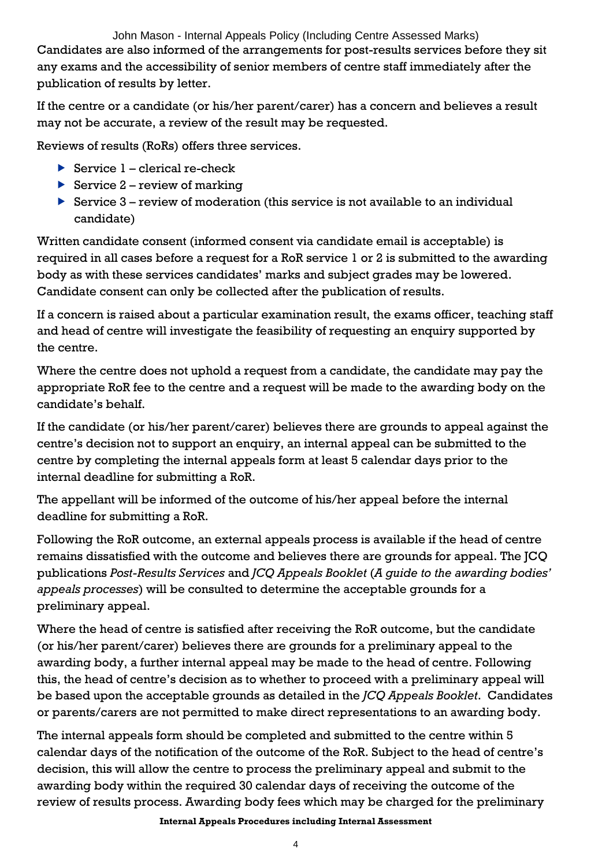John Mason - Internal Appeals Policy (Including Centre Assessed Marks) Candidates are also informed of the arrangements for post-results services before they sit any exams and the accessibility of senior members of centre staff immediately after the publication of results by letter.

If the centre or a candidate (or his/her parent/carer) has a concern and believes a result may not be accurate, a review of the result may be requested.

Reviews of results (RoRs) offers three services.

- Service  $1$  clerical re-check
- Service  $2$  review of marking
- Service  $3$  review of moderation (this service is not available to an individual candidate)

Written candidate consent (informed consent via candidate email is acceptable) is required in all cases before a request for a RoR service 1 or 2 is submitted to the awarding body as with these services candidates' marks and subject grades may be lowered. Candidate consent can only be collected after the publication of results.

If a concern is raised about a particular examination result, the exams officer, teaching staff and head of centre will investigate the feasibility of requesting an enquiry supported by the centre.

Where the centre does not uphold a request from a candidate, the candidate may pay the appropriate RoR fee to the centre and a request will be made to the awarding body on the candidate's behalf.

If the candidate (or his/her parent/carer) believes there are grounds to appeal against the centre's decision not to support an enquiry, an internal appeal can be submitted to the centre by completing the internal appeals form at least 5 calendar days prior to the internal deadline for submitting a RoR.

The appellant will be informed of the outcome of his/her appeal before the internal deadline for submitting a RoR.

Following the RoR outcome, an external appeals process is available if the head of centre remains dissatisfied with the outcome and believes there are grounds for appeal. The JCQ publications *Post-Results Services* and *JCQ Appeals Booklet* (*A guide to the awarding bodies' appeals processes*) will be consulted to determine the acceptable grounds for a preliminary appeal.

Where the head of centre is satisfied after receiving the RoR outcome, but the candidate (or his/her parent/carer) believes there are grounds for a preliminary appeal to the awarding body, a further internal appeal may be made to the head of centre. Following this, the head of centre's decision as to whether to proceed with a preliminary appeal will be based upon the acceptable grounds as detailed in the *JCQ Appeals Booklet*. Candidates or parents/carers are not permitted to make direct representations to an awarding body.

The internal appeals form should be completed and submitted to the centre within 5 calendar days of the notification of the outcome of the RoR. Subject to the head of centre's decision, this will allow the centre to process the preliminary appeal and submit to the awarding body within the required 30 calendar days of receiving the outcome of the review of results process. Awarding body fees which may be charged for the preliminary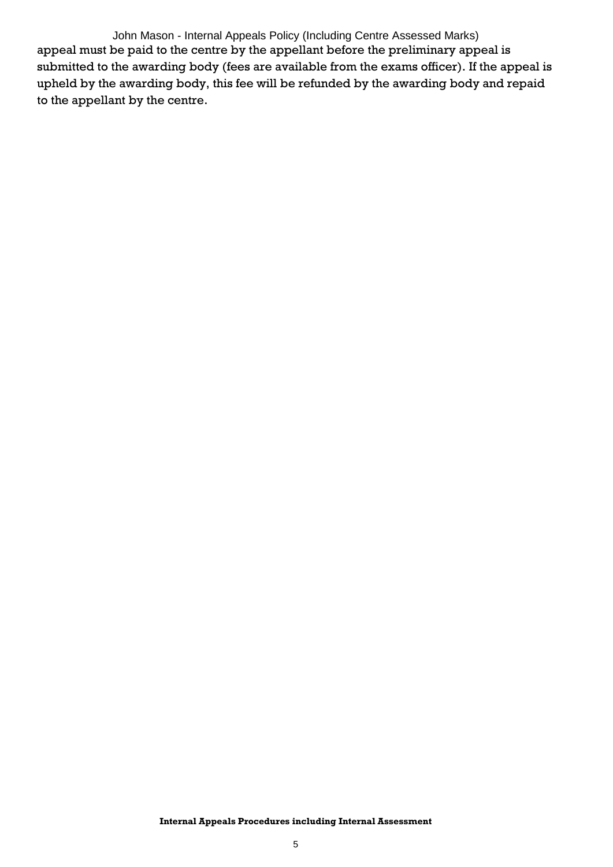John Mason - Internal Appeals Policy (Including Centre Assessed Marks) appeal must be paid to the centre by the appellant before the preliminary appeal is submitted to the awarding body (fees are available from the exams officer). If the appeal is upheld by the awarding body, this fee will be refunded by the awarding body and repaid to the appellant by the centre.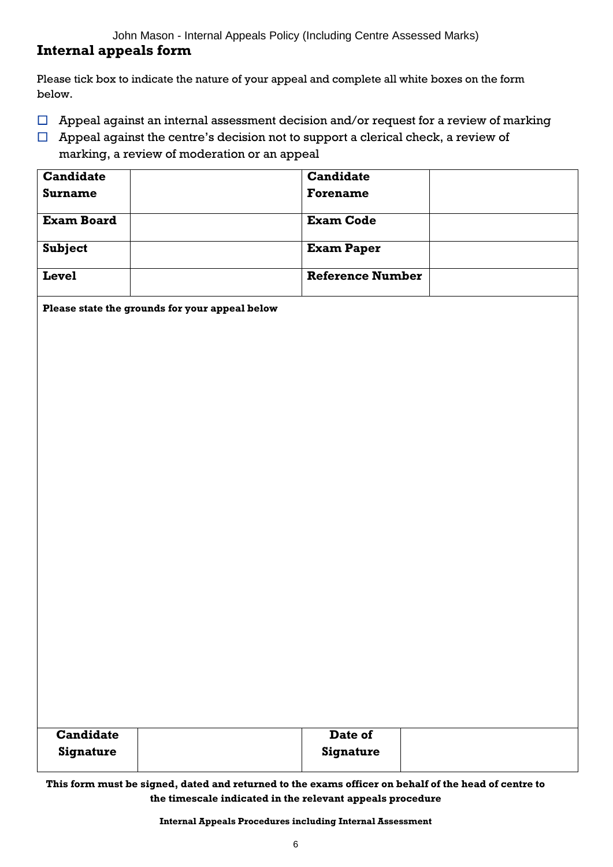John Mason - Internal Appeals Policy (Including Centre Assessed Marks)

### **Internal appeals form**

Please tick box to indicate the nature of your appeal and complete all white boxes on the form below.

- $\Box$  Appeal against an internal assessment decision and/or request for a review of marking
- $\Box$  Appeal against the centre's decision not to support a clerical check, a review of marking, a review of moderation or an appeal

| <b>Candidate</b>  | <b>Candidate</b>        |  |
|-------------------|-------------------------|--|
| Surname           | <b>Forename</b>         |  |
| <b>Exam Board</b> | <b>Exam Code</b>        |  |
| <b>Subject</b>    | <b>Exam Paper</b>       |  |
| <b>Level</b>      | <b>Reference Number</b> |  |

**Please state the grounds for your appeal below**

| <b>Candidate</b> | Date of   |  |
|------------------|-----------|--|
| Signature        | Signature |  |
|                  |           |  |

**This form must be signed, dated and returned to the exams officer on behalf of the head of centre to the timescale indicated in the relevant appeals procedure**